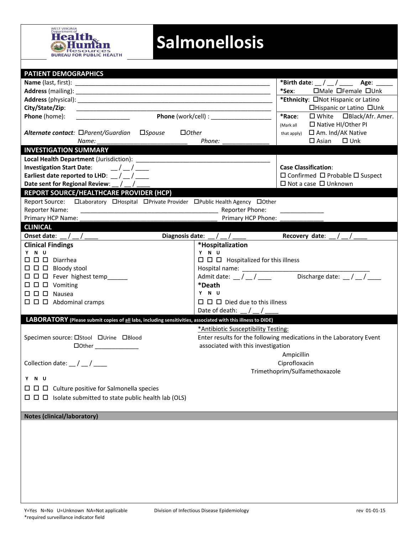

## **Salmonellosis**

| <b>PATIENT DEMOGRAPHICS</b>                                                                                  |                                                               |                                                                                                                                                                                                                                                                                                                                                                                                            |  |  |  |
|--------------------------------------------------------------------------------------------------------------|---------------------------------------------------------------|------------------------------------------------------------------------------------------------------------------------------------------------------------------------------------------------------------------------------------------------------------------------------------------------------------------------------------------------------------------------------------------------------------|--|--|--|
|                                                                                                              |                                                               | *Birth date: $\_\/\_\/\_\_\_\_\$ Age: $\_\_\_\_\$                                                                                                                                                                                                                                                                                                                                                          |  |  |  |
|                                                                                                              |                                                               | $\Box$ Male $\Box$ Female $\Box$ Unk<br>*Sex:                                                                                                                                                                                                                                                                                                                                                              |  |  |  |
|                                                                                                              |                                                               | *Ethnicity: ONot Hispanic or Latino                                                                                                                                                                                                                                                                                                                                                                        |  |  |  |
|                                                                                                              |                                                               | □Hispanic or Latino □Unk                                                                                                                                                                                                                                                                                                                                                                                   |  |  |  |
| Phone (home):                                                                                                |                                                               | *Race:<br>$\Box$ White $\Box$ Black/Afr. Amer.                                                                                                                                                                                                                                                                                                                                                             |  |  |  |
|                                                                                                              |                                                               | $\Box$ Native HI/Other PI<br>(Mark all                                                                                                                                                                                                                                                                                                                                                                     |  |  |  |
| Alternate contact: □Parent/Guardian<br>$\square$ <i>Spouse</i><br>$\Box$ Other                               |                                                               | □ Am. Ind/AK Native<br>that apply)                                                                                                                                                                                                                                                                                                                                                                         |  |  |  |
| Name:                                                                                                        | Phone:                                                        | $\square$ Asian<br>$\square$ Unk                                                                                                                                                                                                                                                                                                                                                                           |  |  |  |
| <b>INVESTIGATION SUMMARY</b>                                                                                 |                                                               |                                                                                                                                                                                                                                                                                                                                                                                                            |  |  |  |
|                                                                                                              |                                                               |                                                                                                                                                                                                                                                                                                                                                                                                            |  |  |  |
| Investigation Start Date: $\frac{1}{2}$ / $\frac{1}{2}$                                                      |                                                               | <b>Case Classification:</b>                                                                                                                                                                                                                                                                                                                                                                                |  |  |  |
| Earliest date reported to LHD: $\frac{1}{2}$ / $\frac{1}{2}$                                                 |                                                               | $\Box$ Confirmed $\Box$ Probable $\Box$ Suspect                                                                                                                                                                                                                                                                                                                                                            |  |  |  |
| Date sent for Regional Review: _/ _                                                                          |                                                               | $\Box$ Not a case $\Box$ Unknown                                                                                                                                                                                                                                                                                                                                                                           |  |  |  |
| REPORT SOURCE/HEALTHCARE PROVIDER (HCP)                                                                      |                                                               |                                                                                                                                                                                                                                                                                                                                                                                                            |  |  |  |
| Report Source: Claboratory CHospital CPrivate Provider CPublic Health Agency COther                          |                                                               |                                                                                                                                                                                                                                                                                                                                                                                                            |  |  |  |
| <b>Reporter Name:</b>                                                                                        | Reporter Phone:                                               |                                                                                                                                                                                                                                                                                                                                                                                                            |  |  |  |
| Primary HCP Name:                                                                                            | Primary HCP Phone:                                            |                                                                                                                                                                                                                                                                                                                                                                                                            |  |  |  |
| <b>CLINICAL</b>                                                                                              |                                                               |                                                                                                                                                                                                                                                                                                                                                                                                            |  |  |  |
| Onset date: $\angle$ / __/ ____                                                                              | Diagnosis date: $\frac{1}{2}$ / $\frac{1}{2}$ / $\frac{1}{2}$ | Recovery date: $\frac{1}{2}$ / $\frac{1}{2}$                                                                                                                                                                                                                                                                                                                                                               |  |  |  |
| <b>Clinical Findings</b>                                                                                     | *Hospitalization                                              |                                                                                                                                                                                                                                                                                                                                                                                                            |  |  |  |
| YNU                                                                                                          | Y N U                                                         |                                                                                                                                                                                                                                                                                                                                                                                                            |  |  |  |
| $\square$ $\square$ $\square$ Diarrhea                                                                       | $\Box$ $\Box$ Hospitalized for this illness                   |                                                                                                                                                                                                                                                                                                                                                                                                            |  |  |  |
| $\Box$ $\Box$ Bloody stool                                                                                   |                                                               |                                                                                                                                                                                                                                                                                                                                                                                                            |  |  |  |
| $\Box$ $\Box$ $\Box$ Fever highest temp______                                                                | Admit date: $\frac{1}{2}$ / $\frac{1}{2}$                     | Discharge date: $\sqrt{\frac{1}{1-\frac{1}{1-\frac{1}{1-\frac{1}{1-\frac{1}{1-\frac{1}{1-\frac{1}{1-\frac{1}{1-\frac{1}{1-\frac{1}{1-\frac{1}{1-\frac{1}{1-\frac{1}{1-\frac{1}{1-\frac{1}{1-\frac{1}{1-\frac{1}{1-\frac{1}{1-\frac{1}{1-\frac{1}{1-\frac{1}{1-\frac{1}{1-\frac{1}{1-\frac{1}{1-\frac{1}{1-\frac{1}{1-\frac{1}{1-\frac{1}{1-\frac{1}{1-\frac{1}{1-\frac{1}{1-\frac{1}{1-\frac{1}{1-\frac{1$ |  |  |  |
| $\Box$ $\Box$ $\Box$ Vomiting                                                                                | *Death                                                        |                                                                                                                                                                                                                                                                                                                                                                                                            |  |  |  |
| $\square$ $\square$ $\square$ Nausea                                                                         | Y N U                                                         |                                                                                                                                                                                                                                                                                                                                                                                                            |  |  |  |
| $\Box$ $\Box$ Abdominal cramps                                                                               | $\Box$ $\Box$ Died due to this illness                        |                                                                                                                                                                                                                                                                                                                                                                                                            |  |  |  |
|                                                                                                              | Date of death: $/$ /                                          |                                                                                                                                                                                                                                                                                                                                                                                                            |  |  |  |
| LABORATORY (Please submit copies of all labs, including sensitivities, associated with this illness to DIDE) |                                                               |                                                                                                                                                                                                                                                                                                                                                                                                            |  |  |  |
|                                                                                                              | *Antibiotic Susceptibility Testing:                           |                                                                                                                                                                                                                                                                                                                                                                                                            |  |  |  |
| Specimen source: □Stool □Urine □Blood                                                                        |                                                               | Enter results for the following medications in the Laboratory Event                                                                                                                                                                                                                                                                                                                                        |  |  |  |
| $\Box$ $\Box$                                                                                                | associated with this investigation                            |                                                                                                                                                                                                                                                                                                                                                                                                            |  |  |  |
|                                                                                                              |                                                               | Ampicillin                                                                                                                                                                                                                                                                                                                                                                                                 |  |  |  |
| Collection date: $\frac{1}{2}$ / $\frac{1}{2}$                                                               |                                                               | Ciprofloxacin                                                                                                                                                                                                                                                                                                                                                                                              |  |  |  |
|                                                                                                              |                                                               | Trimethoprim/Sulfamethoxazole                                                                                                                                                                                                                                                                                                                                                                              |  |  |  |
| Y N U                                                                                                        |                                                               |                                                                                                                                                                                                                                                                                                                                                                                                            |  |  |  |
|                                                                                                              |                                                               |                                                                                                                                                                                                                                                                                                                                                                                                            |  |  |  |
| $\Box$ $\Box$ Isolate submitted to state public health lab (OLS)                                             |                                                               |                                                                                                                                                                                                                                                                                                                                                                                                            |  |  |  |
|                                                                                                              |                                                               |                                                                                                                                                                                                                                                                                                                                                                                                            |  |  |  |
| <b>Notes (clinical/laboratory)</b>                                                                           |                                                               |                                                                                                                                                                                                                                                                                                                                                                                                            |  |  |  |
|                                                                                                              |                                                               |                                                                                                                                                                                                                                                                                                                                                                                                            |  |  |  |
|                                                                                                              |                                                               |                                                                                                                                                                                                                                                                                                                                                                                                            |  |  |  |
|                                                                                                              |                                                               |                                                                                                                                                                                                                                                                                                                                                                                                            |  |  |  |
|                                                                                                              |                                                               |                                                                                                                                                                                                                                                                                                                                                                                                            |  |  |  |
|                                                                                                              |                                                               |                                                                                                                                                                                                                                                                                                                                                                                                            |  |  |  |
|                                                                                                              |                                                               |                                                                                                                                                                                                                                                                                                                                                                                                            |  |  |  |
|                                                                                                              |                                                               |                                                                                                                                                                                                                                                                                                                                                                                                            |  |  |  |
|                                                                                                              |                                                               |                                                                                                                                                                                                                                                                                                                                                                                                            |  |  |  |
|                                                                                                              |                                                               |                                                                                                                                                                                                                                                                                                                                                                                                            |  |  |  |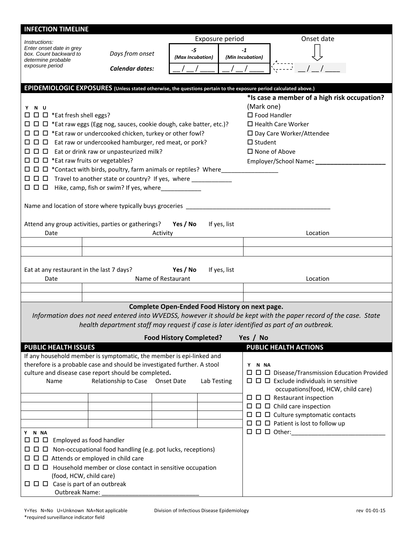| <b>INFECTION TIMELINE</b>                                                                                                        |                                                                                                                                            |                                                |             |                  |                                                         |                                                                                                                   |  |  |
|----------------------------------------------------------------------------------------------------------------------------------|--------------------------------------------------------------------------------------------------------------------------------------------|------------------------------------------------|-------------|------------------|---------------------------------------------------------|-------------------------------------------------------------------------------------------------------------------|--|--|
| Instructions:                                                                                                                    | Exposure period                                                                                                                            |                                                |             | Onset date       |                                                         |                                                                                                                   |  |  |
| Enter onset date in grey<br>box. Count backward to                                                                               | Days from onset                                                                                                                            | $-5$                                           |             | $-1$             |                                                         |                                                                                                                   |  |  |
| determine probable<br>exposure period                                                                                            |                                                                                                                                            | (Max Incubation)                               |             | (Min Incubation) |                                                         |                                                                                                                   |  |  |
|                                                                                                                                  | Calendar dates:                                                                                                                            |                                                |             |                  |                                                         |                                                                                                                   |  |  |
| EPIDEMIOLOGIC EXPOSURES (Unless stated otherwise, the questions pertain to the exposure period calculated above.)                |                                                                                                                                            |                                                |             |                  |                                                         |                                                                                                                   |  |  |
|                                                                                                                                  | *Is case a member of a high risk occupation?                                                                                               |                                                |             |                  |                                                         |                                                                                                                   |  |  |
| Y N U                                                                                                                            |                                                                                                                                            |                                                |             |                  | (Mark one)                                              |                                                                                                                   |  |  |
| $\Box$ $\Box$ $\Box$ *Eat fresh shell eggs?                                                                                      |                                                                                                                                            |                                                |             |                  | $\Box$ Food Handler                                     |                                                                                                                   |  |  |
| $\Box$ $\Box$ *Eat raw eggs (Egg nog, sauces, cookie dough, cake batter, etc.)?                                                  |                                                                                                                                            |                                                |             |                  | $\Box$ Health Care Worker<br>□ Day Care Worker/Attendee |                                                                                                                   |  |  |
|                                                                                                                                  | $\Box$ $\Box$ *Eat raw or undercooked chicken, turkey or other fowl?<br>$\Box$ $\Box$ Eat raw or undercooked hamburger, red meat, or pork? |                                                |             |                  | $\Box$ Student                                          |                                                                                                                   |  |  |
|                                                                                                                                  | $\Box$ $\Box$ Eat or drink raw or unpasteurized milk?                                                                                      |                                                |             |                  | $\square$ None of Above                                 |                                                                                                                   |  |  |
|                                                                                                                                  | $\Box$ $\Box$ *Eat raw fruits or vegetables?                                                                                               |                                                |             |                  | Employer/School Name: ___________                       |                                                                                                                   |  |  |
|                                                                                                                                  | $\Box$ $\Box$ *Contact with birds, poultry, farm animals or reptiles? Where_______________                                                 |                                                |             |                  |                                                         |                                                                                                                   |  |  |
|                                                                                                                                  | □ □ □ Travel to another state or country? If yes, where ___________                                                                        |                                                |             |                  |                                                         |                                                                                                                   |  |  |
|                                                                                                                                  | $\Box$ $\Box$ Hike, camp, fish or swim? If yes, where____________                                                                          |                                                |             |                  |                                                         |                                                                                                                   |  |  |
|                                                                                                                                  | Name and location of store where typically buys groceries _____                                                                            |                                                |             |                  |                                                         |                                                                                                                   |  |  |
|                                                                                                                                  |                                                                                                                                            |                                                |             |                  |                                                         |                                                                                                                   |  |  |
|                                                                                                                                  | Attend any group activities, parties or gatherings?                                                                                        | Yes / No                                       |             | If yes, list     |                                                         |                                                                                                                   |  |  |
| Date                                                                                                                             |                                                                                                                                            | Activity                                       |             |                  |                                                         | Location                                                                                                          |  |  |
|                                                                                                                                  |                                                                                                                                            |                                                |             |                  |                                                         |                                                                                                                   |  |  |
| Yes / No<br>If yes, list<br>Eat at any restaurant in the last 7 days?<br>Name of Restaurant<br>Location<br>Date                  |                                                                                                                                            |                                                |             |                  |                                                         |                                                                                                                   |  |  |
|                                                                                                                                  |                                                                                                                                            |                                                |             |                  |                                                         |                                                                                                                   |  |  |
|                                                                                                                                  |                                                                                                                                            |                                                |             |                  |                                                         |                                                                                                                   |  |  |
|                                                                                                                                  |                                                                                                                                            | Complete Open-Ended Food History on next page. |             |                  |                                                         | Information does not need entered into WVEDSS, however it should be kept with the paper record of the case. State |  |  |
|                                                                                                                                  | health department staff may request if case is later identified as part of an outbreak.                                                    |                                                |             |                  |                                                         |                                                                                                                   |  |  |
|                                                                                                                                  |                                                                                                                                            | <b>Food History Completed?</b>                 |             |                  | Yes / No                                                |                                                                                                                   |  |  |
| <b>PUBLIC HEALTH ISSUES</b>                                                                                                      |                                                                                                                                            |                                                |             |                  |                                                         | PUBLIC HEALTH ACTIONS                                                                                             |  |  |
|                                                                                                                                  | If any household member is symptomatic, the member is epi-linked and                                                                       |                                                |             |                  |                                                         |                                                                                                                   |  |  |
| therefore is a probable case and should be investigated further. A stool<br>culture and disease case report should be completed. |                                                                                                                                            |                                                |             |                  | Y N NA                                                  |                                                                                                                   |  |  |
| Name                                                                                                                             | Relationship to Case Onset Date                                                                                                            |                                                | Lab Testing |                  |                                                         | $\Box$ $\Box$ Exclude individuals in sensitive                                                                    |  |  |
|                                                                                                                                  |                                                                                                                                            |                                                |             |                  |                                                         | occupations(food, HCW, child care)                                                                                |  |  |
|                                                                                                                                  |                                                                                                                                            |                                                |             |                  |                                                         | $\Box$ $\Box$ Restaurant inspection                                                                               |  |  |
|                                                                                                                                  |                                                                                                                                            |                                                |             |                  |                                                         | $\Box$ $\Box$ $\Box$ Child care inspection<br>$\Box$ $\Box$ $\Box$ Culture symptomatic contacts                   |  |  |
|                                                                                                                                  |                                                                                                                                            |                                                |             |                  |                                                         | $\Box$ $\Box$ Patient is lost to follow up                                                                        |  |  |
| Y N NA                                                                                                                           |                                                                                                                                            |                                                |             |                  |                                                         |                                                                                                                   |  |  |
|                                                                                                                                  | $\Box$ $\Box$ Employed as food handler                                                                                                     |                                                |             |                  |                                                         |                                                                                                                   |  |  |
|                                                                                                                                  | $\Box$ $\Box$ Non-occupational food handling (e.g. pot lucks, receptions)                                                                  |                                                |             |                  |                                                         |                                                                                                                   |  |  |
| $\Box$ $\Box$ Attends or employed in child care                                                                                  |                                                                                                                                            |                                                |             |                  |                                                         |                                                                                                                   |  |  |
| (food, HCW, child care)                                                                                                          |                                                                                                                                            |                                                |             |                  |                                                         |                                                                                                                   |  |  |
|                                                                                                                                  |                                                                                                                                            |                                                |             |                  |                                                         |                                                                                                                   |  |  |
| <b>Outbreak Name:</b>                                                                                                            |                                                                                                                                            |                                                |             |                  |                                                         |                                                                                                                   |  |  |